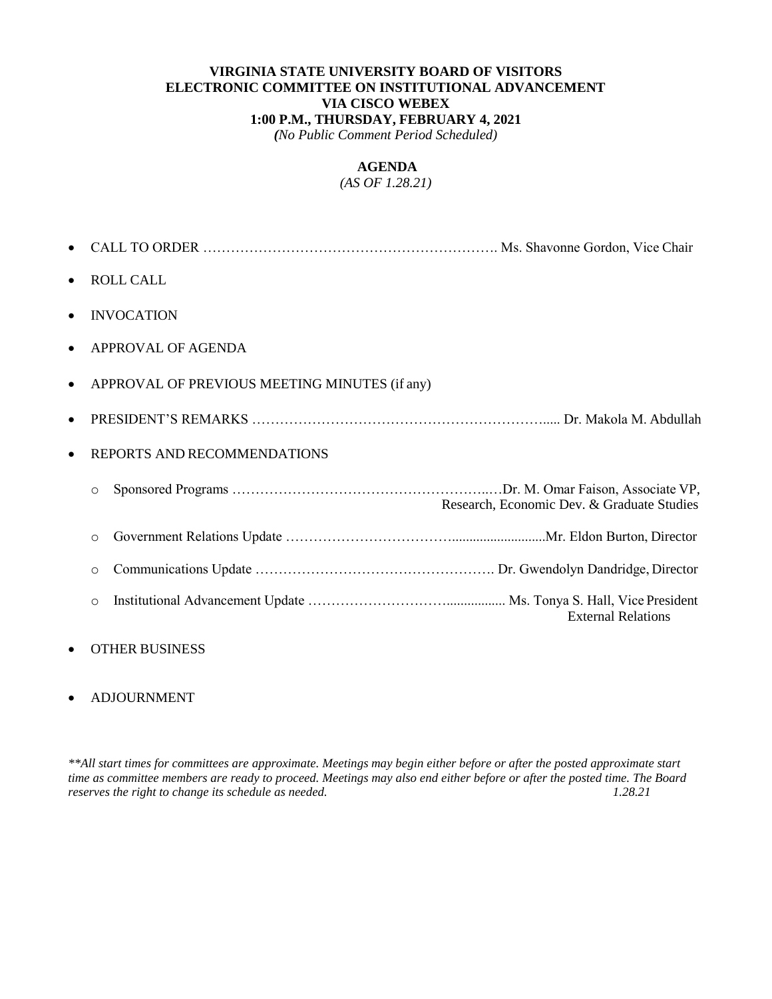#### **VIRGINIA STATE UNIVERSITY BOARD OF VISITORS ELECTRONIC COMMITTEE ON INSTITUTIONAL ADVANCEMENT VIA CISCO WEBEX 1:00 P.M., THURSDAY, FEBRUARY 4, 2021**

*(No Public Comment Period Scheduled)*

# **AGENDA**

*(AS OF 1.28.21)*

| $\bullet$ |         | <b>ROLL CALL</b>                              |
|-----------|---------|-----------------------------------------------|
|           |         | <b>INVOCATION</b>                             |
| $\bullet$ |         | APPROVAL OF AGENDA                            |
|           |         | APPROVAL OF PREVIOUS MEETING MINUTES (if any) |
|           |         |                                               |
| $\bullet$ |         | REPORTS AND RECOMMENDATIONS                   |
|           | $\circ$ | Research, Economic Dev. & Graduate Studies    |
|           | $\circ$ |                                               |
|           | $\circ$ |                                               |
|           | $\circ$ | <b>External Relations</b>                     |

### OTHER BUSINESS

#### ADJOURNMENT

*\*\*All start times for committees are approximate. Meetings may begin either before or after the posted approximate start time as committee members are ready to proceed. Meetings may also end either before or after the posted time. The Board reserves the right to change its schedule as needed. 1.28.21*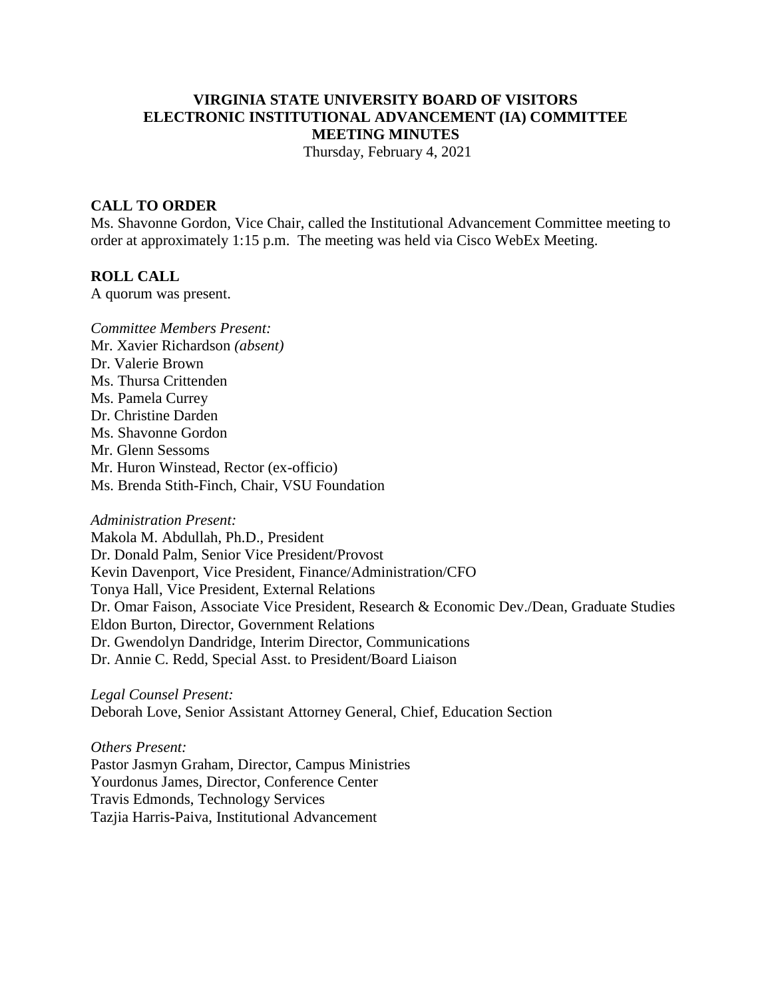# **VIRGINIA STATE UNIVERSITY BOARD OF VISITORS ELECTRONIC INSTITUTIONAL ADVANCEMENT (IA) COMMITTEE MEETING MINUTES**

Thursday, February 4, 2021

#### **CALL TO ORDER**

Ms. Shavonne Gordon, Vice Chair, called the Institutional Advancement Committee meeting to order at approximately 1:15 p.m. The meeting was held via Cisco WebEx Meeting.

#### **ROLL CALL**

A quorum was present.

# *Committee Members Present:*  Mr. Xavier Richardson *(absent)*  Dr. Valerie Brown Ms. Thursa Crittenden Ms. Pamela Currey Dr. Christine Darden Ms. Shavonne Gordon Mr. Glenn Sessoms Mr. Huron Winstead, Rector (ex-officio) Ms. Brenda Stith-Finch, Chair, VSU Foundation

*Administration Present:* Makola M. Abdullah, Ph.D., President Dr. Donald Palm, Senior Vice President/Provost Kevin Davenport, Vice President, Finance/Administration/CFO Tonya Hall, Vice President, External Relations Dr. Omar Faison, Associate Vice President, Research & Economic Dev./Dean, Graduate Studies Eldon Burton, Director, Government Relations Dr. Gwendolyn Dandridge, Interim Director, Communications Dr. Annie C. Redd, Special Asst. to President/Board Liaison

*Legal Counsel Present:* Deborah Love, Senior Assistant Attorney General, Chief, Education Section

*Others Present:* Pastor Jasmyn Graham, Director, Campus Ministries Yourdonus James, Director, Conference Center Travis Edmonds, Technology Services Tazjia Harris-Paiva, Institutional Advancement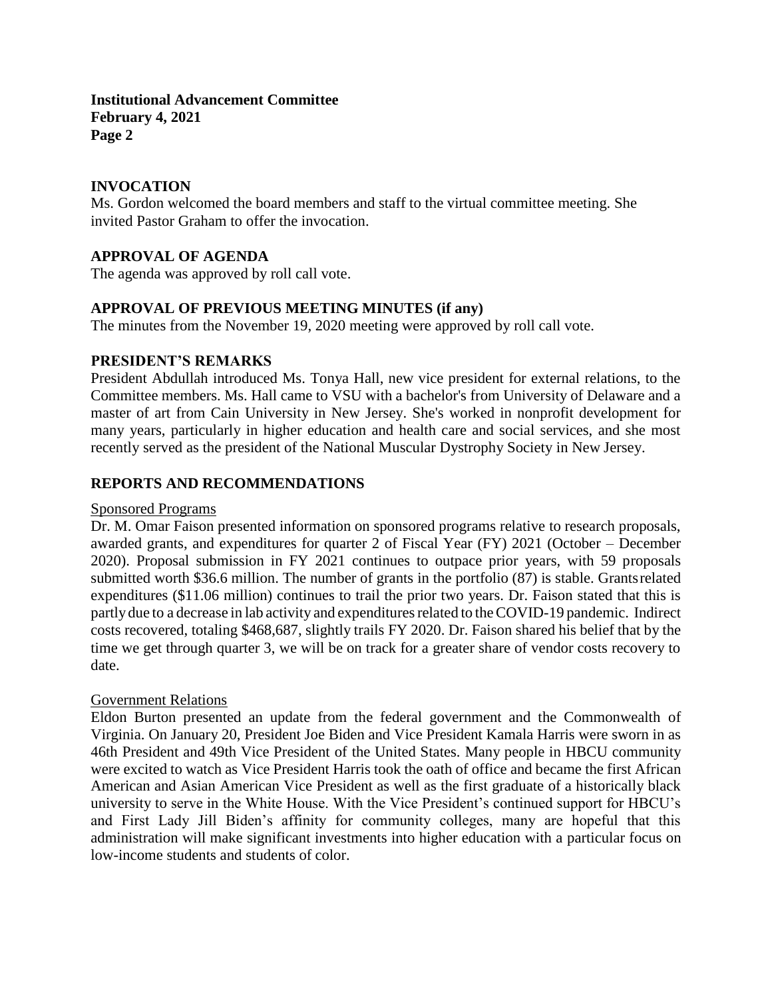### **INVOCATION**

Ms. Gordon welcomed the board members and staff to the virtual committee meeting. She invited Pastor Graham to offer the invocation.

## **APPROVAL OF AGENDA**

The agenda was approved by roll call vote.

## **APPROVAL OF PREVIOUS MEETING MINUTES (if any)**

The minutes from the November 19, 2020 meeting were approved by roll call vote.

### **PRESIDENT'S REMARKS**

President Abdullah introduced Ms. Tonya Hall, new vice president for external relations, to the Committee members. Ms. Hall came to VSU with a bachelor's from University of Delaware and a master of art from Cain University in New Jersey. She's worked in nonprofit development for many years, particularly in higher education and health care and social services, and she most recently served as the president of the National Muscular Dystrophy Society in New Jersey.

### **REPORTS AND RECOMMENDATIONS**

#### Sponsored Programs

Dr. M. Omar Faison presented information on sponsored programs relative to research proposals, awarded grants, and expenditures for quarter 2 of Fiscal Year (FY) 2021 (October – December 2020). Proposal submission in FY 2021 continues to outpace prior years, with 59 proposals submitted worth \$36.6 million. The number of grants in the portfolio (87) is stable. Grantsrelated expenditures (\$11.06 million) continues to trail the prior two years. Dr. Faison stated that this is partly due to a decrease in lab activity and expenditures related to the COVID-19 pandemic. Indirect costs recovered, totaling \$468,687, slightly trails FY 2020. Dr. Faison shared his belief that by the time we get through quarter 3, we will be on track for a greater share of vendor costs recovery to date.

#### Government Relations

Eldon Burton presented an update from the federal government and the Commonwealth of Virginia. On January 20, President Joe Biden and Vice President Kamala Harris were sworn in as 46th President and 49th Vice President of the United States. Many people in HBCU community were excited to watch as Vice President Harris took the oath of office and became the first African American and Asian American Vice President as well as the first graduate of a historically black university to serve in the White House. With the Vice President's continued support for HBCU's and First Lady Jill Biden's affinity for community colleges, many are hopeful that this administration will make significant investments into higher education with a particular focus on low-income students and students of color.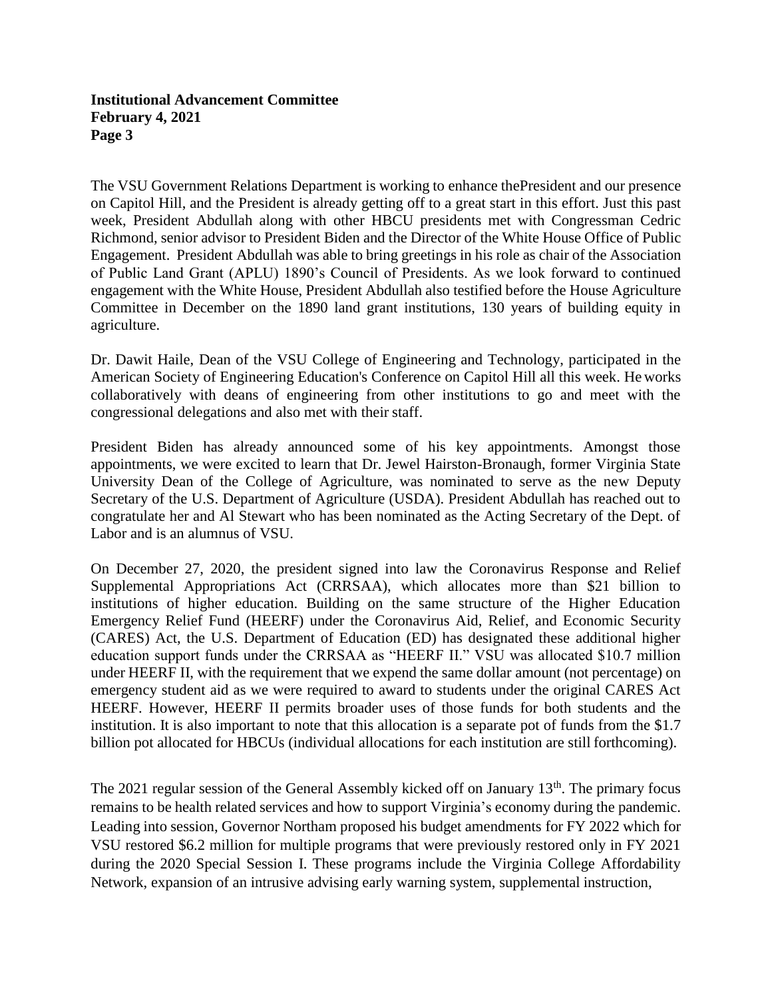The VSU Government Relations Department is working to enhance thePresident and our presence on Capitol Hill, and the President is already getting off to a great start in this effort. Just this past week, President Abdullah along with other HBCU presidents met with Congressman Cedric Richmond, senior advisor to President Biden and the Director of the White House Office of Public Engagement. President Abdullah was able to bring greetings in his role as chair of the Association of Public Land Grant (APLU) 1890's Council of Presidents. As we look forward to continued engagement with the White House, President Abdullah also testified before the House Agriculture Committee in December on the 1890 land grant institutions, 130 years of building equity in agriculture.

Dr. Dawit Haile, Dean of the VSU College of Engineering and Technology, participated in the American Society of Engineering Education's Conference on Capitol Hill all this week. He works collaboratively with deans of engineering from other institutions to go and meet with the congressional delegations and also met with their staff.

President Biden has already announced some of his key appointments. Amongst those appointments, we were excited to learn that Dr. Jewel Hairston-Bronaugh, former Virginia State University Dean of the College of Agriculture, was nominated to serve as the new Deputy Secretary of the U.S. Department of Agriculture (USDA). President Abdullah has reached out to congratulate her and Al Stewart who has been nominated as the Acting Secretary of the Dept. of Labor and is an alumnus of VSU.

On December 27, 2020, the president signed into law the Coronavirus Response and Relief Supplemental Appropriations Act (CRRSAA), which allocates more than \$21 billion to institutions of higher education. Building on the same structure of the Higher Education Emergency Relief Fund (HEERF) under the Coronavirus Aid, Relief, and Economic Security (CARES) Act, the U.S. Department of Education (ED) has designated these additional higher education support funds under the CRRSAA as "HEERF II." VSU was allocated \$10.7 million under HEERF II, with the requirement that we expend the same dollar amount (not percentage) on emergency student aid as we were required to award to students under the original CARES Act HEERF. However, HEERF II permits broader uses of those funds for both students and the institution. It is also important to note that this allocation is a separate pot of funds from the \$1.7 billion pot allocated for HBCUs (individual allocations for each institution are still forthcoming).

The 2021 regular session of the General Assembly kicked off on January 13<sup>th</sup>. The primary focus remains to be health related services and how to support Virginia's economy during the pandemic. Leading into session, Governor Northam proposed his budget amendments for FY 2022 which for VSU restored \$6.2 million for multiple programs that were previously restored only in FY 2021 during the 2020 Special Session I. These programs include the Virginia College Affordability Network, expansion of an intrusive advising early warning system, supplemental instruction,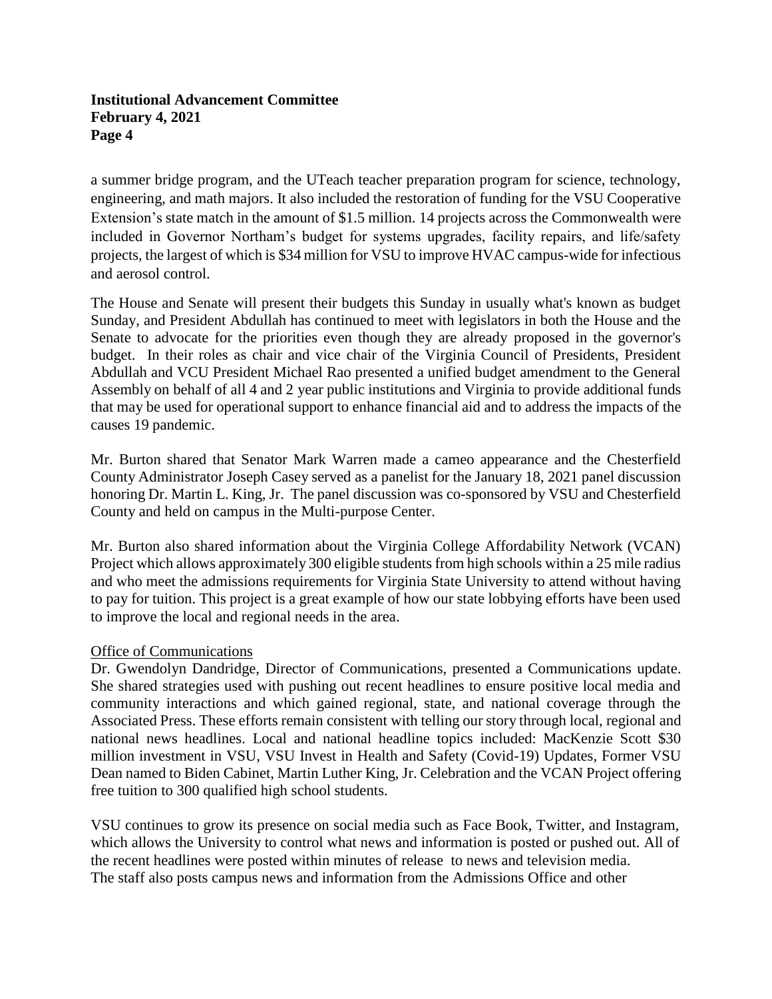a summer bridge program, and the UTeach teacher preparation program for science, technology, engineering, and math majors. It also included the restoration of funding for the VSU Cooperative Extension's state match in the amount of \$1.5 million. 14 projects across the Commonwealth were included in Governor Northam's budget for systems upgrades, facility repairs, and life/safety projects, the largest of which is \$34 million for VSU to improve HVAC campus-wide for infectious and aerosol control.

The House and Senate will present their budgets this Sunday in usually what's known as budget Sunday, and President Abdullah has continued to meet with legislators in both the House and the Senate to advocate for the priorities even though they are already proposed in the governor's budget. In their roles as chair and vice chair of the Virginia Council of Presidents, President Abdullah and VCU President Michael Rao presented a unified budget amendment to the General Assembly on behalf of all 4 and 2 year public institutions and Virginia to provide additional funds that may be used for operational support to enhance financial aid and to address the impacts of the causes 19 pandemic.

Mr. Burton shared that Senator Mark Warren made a cameo appearance and the Chesterfield County Administrator Joseph Casey served as a panelist for the January 18, 2021 panel discussion honoring Dr. Martin L. King, Jr. The panel discussion was co-sponsored by VSU and Chesterfield County and held on campus in the Multi-purpose Center.

Mr. Burton also shared information about the Virginia College Affordability Network (VCAN) Project which allows approximately 300 eligible students from high schools within a 25 mile radius and who meet the admissions requirements for Virginia State University to attend without having to pay for tuition. This project is a great example of how our state lobbying efforts have been used to improve the local and regional needs in the area.

### Office of Communications

Dr. Gwendolyn Dandridge, Director of Communications, presented a Communications update. She shared strategies used with pushing out recent headlines to ensure positive local media and community interactions and which gained regional, state, and national coverage through the Associated Press. These efforts remain consistent with telling our story through local, regional and national news headlines. Local and national headline topics included: MacKenzie Scott \$30 million investment in VSU, VSU Invest in Health and Safety (Covid-19) Updates, Former VSU Dean named to Biden Cabinet, Martin Luther King, Jr. Celebration and the VCAN Project offering free tuition to 300 qualified high school students.

VSU continues to grow its presence on social media such as Face Book, Twitter, and Instagram, which allows the University to control what news and information is posted or pushed out. All of the recent headlines were posted within minutes of release to news and television media. The staff also posts campus news and information from the Admissions Office and other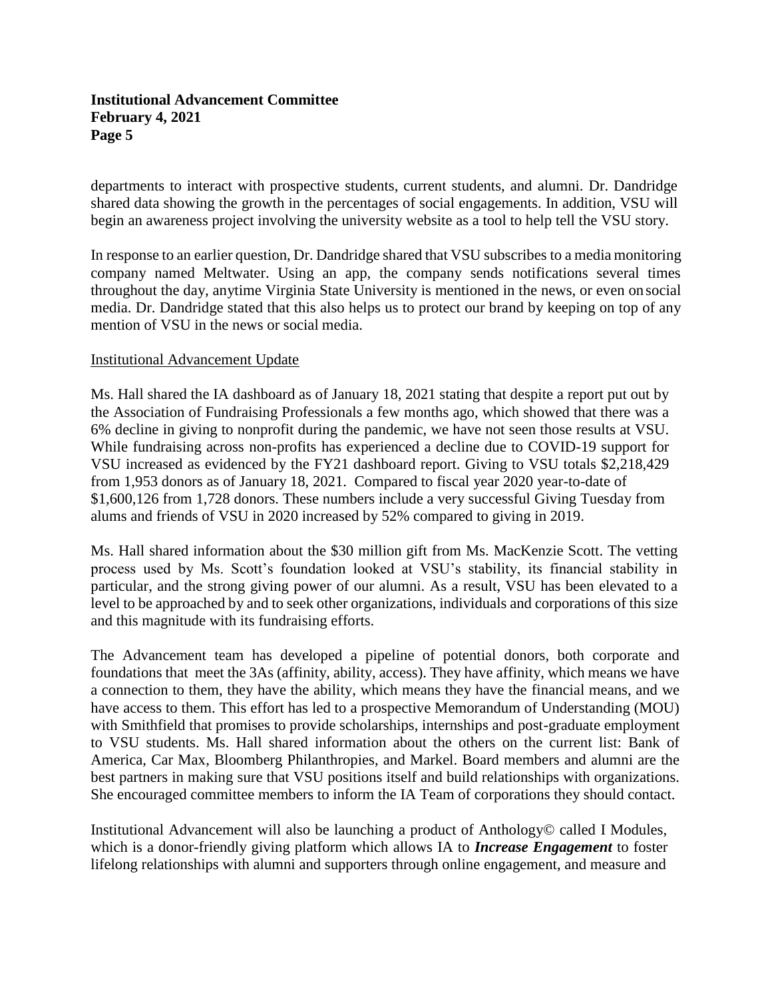departments to interact with prospective students, current students, and alumni. Dr. Dandridge shared data showing the growth in the percentages of social engagements. In addition, VSU will begin an awareness project involving the university website as a tool to help tell the VSU story.

In response to an earlier question, Dr. Dandridge shared that VSU subscribes to a media monitoring company named Meltwater. Using an app, the company sends notifications several times throughout the day, anytime Virginia State University is mentioned in the news, or even on social media. Dr. Dandridge stated that this also helps us to protect our brand by keeping on top of any mention of VSU in the news or social media.

### Institutional Advancement Update

Ms. Hall shared the IA dashboard as of January 18, 2021 stating that despite a report put out by the Association of Fundraising Professionals a few months ago, which showed that there was a 6% decline in giving to nonprofit during the pandemic, we have not seen those results at VSU. While fundraising across non-profits has experienced a decline due to COVID-19 support for VSU increased as evidenced by the FY21 dashboard report. Giving to VSU totals \$2,218,429 from 1,953 donors as of January 18, 2021. Compared to fiscal year 2020 year-to-date of \$1,600,126 from 1,728 donors. These numbers include a very successful Giving Tuesday from alums and friends of VSU in 2020 increased by 52% compared to giving in 2019.

Ms. Hall shared information about the \$30 million gift from Ms. MacKenzie Scott. The vetting process used by Ms. Scott's foundation looked at VSU's stability, its financial stability in particular, and the strong giving power of our alumni. As a result, VSU has been elevated to a level to be approached by and to seek other organizations, individuals and corporations of this size and this magnitude with its fundraising efforts.

The Advancement team has developed a pipeline of potential donors, both corporate and foundations that meet the 3As (affinity, ability, access). They have affinity, which means we have a connection to them, they have the ability, which means they have the financial means, and we have access to them. This effort has led to a prospective Memorandum of Understanding (MOU) with Smithfield that promises to provide scholarships, internships and post-graduate employment to VSU students. Ms. Hall shared information about the others on the current list: Bank of America, Car Max, Bloomberg Philanthropies, and Markel. Board members and alumni are the best partners in making sure that VSU positions itself and build relationships with organizations. She encouraged committee members to inform the IA Team of corporations they should contact.

Institutional Advancement will also be launching a product of Anthology© called I Modules, which is a donor-friendly giving platform which allows IA to *Increase Engagement* to foster lifelong relationships with alumni and supporters through online engagement, and measure and